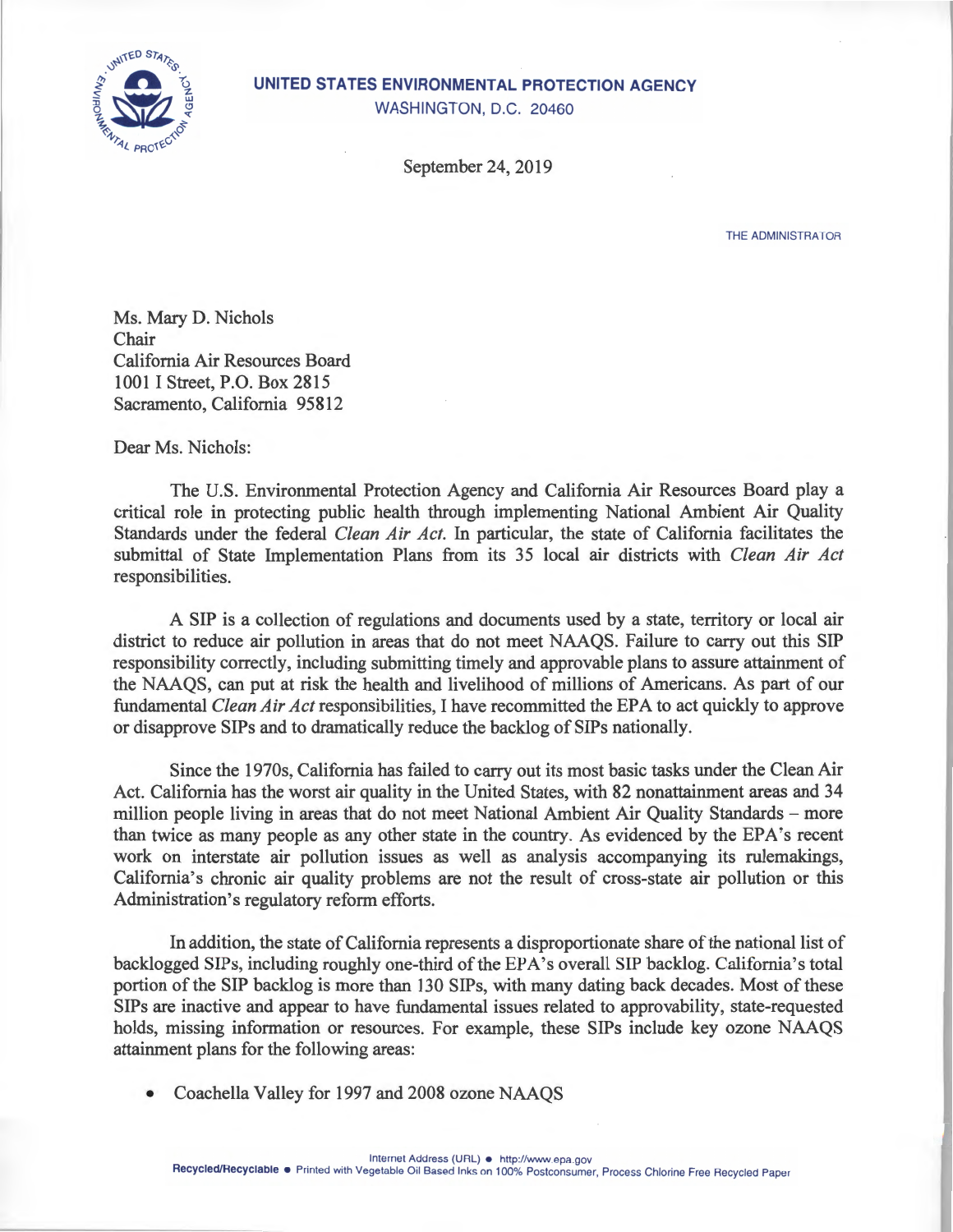

## **UNITED STATES ENVIRONMENTAL PROTECTION AGENCY**

WASHINGTON, D.C. 20460

September 24, 2019

THE **ADMINISTRATOR** 

Ms. Mary D. Nichols Chair California Air Resources Board 1001 I Street, P.O. Box 2815 Sacramento, California 95812

Dear Ms. Nichols:

The U.S. Environmental Protection Agency and California Air Resources Board play a critical role in protecting public health through implementing National Ambient Air Quality Standards under the federal *Clean Air Act.* In particular, the state of California facilitates the submittal of State Implementation Plans from its 35 local air districts with *Clean Air Act*  responsibilities.

A SIP is a collection of regulations and documents used by a state, territory or local air district to reduce air pollution in areas that do not meet NAAQS. Failure to carry out this SIP responsibility correctly, including submitting timely and approvable plans to assure attainment of the NAAQS, can put at risk the health and livelihood of millions of Americans. As part of our fundamental *Clean Air Act* responsibilities, I have recommitted the EPA to act quickly to approve or disapprove SIPs and to dramatically reduce the backlog of SIPs nationally.

Since the 1970s, California has failed to carry out its most basic tasks under the Clean Air Act. California has the worst air quality in the United States, with 82 nonattainment areas and 34 million people living in areas that do not meet National Ambient Air Quality Standards – more than twice as many people as any other state in the country. As evidenced by the EPA's recent work on interstate air pollution issues as well as analysis accompanying its rulemakings, California's chronic air quality problems are not the result of cross-state air pollution or this Administration's regulatory reform efforts.

In addition, the state of California represents a disproportionate share of the national list of backlogged SIPs, including roughly one-third of the EPA's overal. SIP backlog. California's total portion of the SIP backlog is more than 130 SIPs, with many dating back decades. Most of these SIPs are inactive and appear to have fundamental issues related to approvability, state-requested holds, missing information or resources. For example, these SIPs include key ozone NAAQS attainment plans for the following areas:

• Coachella Valley for 1997 and 2008 ozone NAAQS